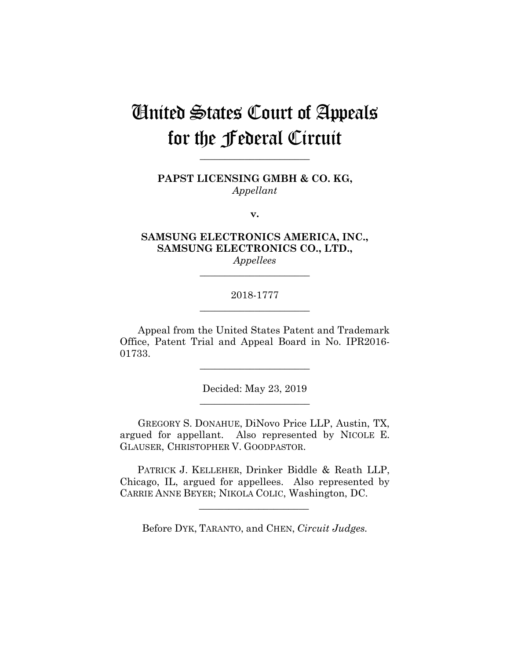# United States Court of Appeals for the Federal Circuit

**PAPST LICENSING GMBH & CO. KG,** *Appellant*

**\_\_\_\_\_\_\_\_\_\_\_\_\_\_\_\_\_\_\_\_\_\_**

**v.**

**SAMSUNG ELECTRONICS AMERICA, INC., SAMSUNG ELECTRONICS CO., LTD.,**

*Appellees* **\_\_\_\_\_\_\_\_\_\_\_\_\_\_\_\_\_\_\_\_\_\_**

### 2018-1777 **\_\_\_\_\_\_\_\_\_\_\_\_\_\_\_\_\_\_\_\_\_\_**

Appeal from the United States Patent and Trademark Office, Patent Trial and Appeal Board in No. IPR2016- 01733.

> Decided: May 23, 2019 **\_\_\_\_\_\_\_\_\_\_\_\_\_\_\_\_\_\_\_\_\_\_**

> **\_\_\_\_\_\_\_\_\_\_\_\_\_\_\_\_\_\_\_\_\_\_**

GREGORY S. DONAHUE, DiNovo Price LLP, Austin, TX, argued for appellant. Also represented by NICOLE E. GLAUSER, CHRISTOPHER V. GOODPASTOR.

 PATRICK J. KELLEHER, Drinker Biddle & Reath LLP, Chicago, IL, argued for appellees. Also represented by CARRIE ANNE BEYER; NIKOLA COLIC, Washington, DC.

 $\mathcal{L}_\text{max}$  and  $\mathcal{L}_\text{max}$  and  $\mathcal{L}_\text{max}$  and  $\mathcal{L}_\text{max}$ 

Before DYK, TARANTO, and CHEN, *Circuit Judges.*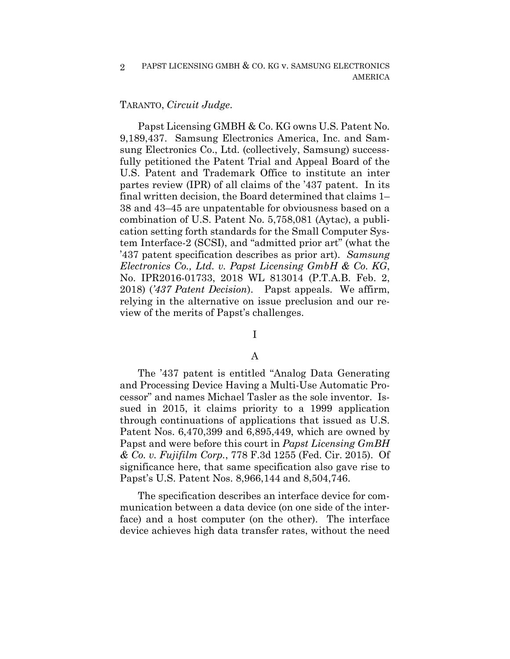#### TARANTO, *Circuit Judge*.

Papst Licensing GMBH & Co. KG owns U.S. Patent No. 9,189,437. Samsung Electronics America, Inc. and Samsung Electronics Co., Ltd. (collectively, Samsung) successfully petitioned the Patent Trial and Appeal Board of the U.S. Patent and Trademark Office to institute an inter partes review (IPR) of all claims of the '437 patent. In its final written decision, the Board determined that claims 1– 38 and 43–45 are unpatentable for obviousness based on a combination of U.S. Patent No. 5,758,081 (Aytac), a publication setting forth standards for the Small Computer System Interface-2 (SCSI), and "admitted prior art" (what the '437 patent specification describes as prior art). *Samsung Electronics Co., Ltd. v. Papst Licensing GmbH & Co. KG*, No. IPR2016-01733, 2018 WL 813014 (P.T.A.B. Feb. 2, 2018) (*'437 Patent Decision*). Papst appeals. We affirm, relying in the alternative on issue preclusion and our review of the merits of Papst's challenges.

## I

#### A

The '437 patent is entitled "Analog Data Generating and Processing Device Having a Multi-Use Automatic Processor" and names Michael Tasler as the sole inventor. Issued in 2015, it claims priority to a 1999 application through continuations of applications that issued as U.S. Patent Nos. 6,470,399 and 6,895,449, which are owned by Papst and were before this court in *Papst Licensing GmBH & Co. v. Fujifilm Corp.*, 778 F.3d 1255 (Fed. Cir. 2015). Of significance here, that same specification also gave rise to Papst's U.S. Patent Nos. 8,966,144 and 8,504,746.

The specification describes an interface device for communication between a data device (on one side of the interface) and a host computer (on the other). The interface device achieves high data transfer rates, without the need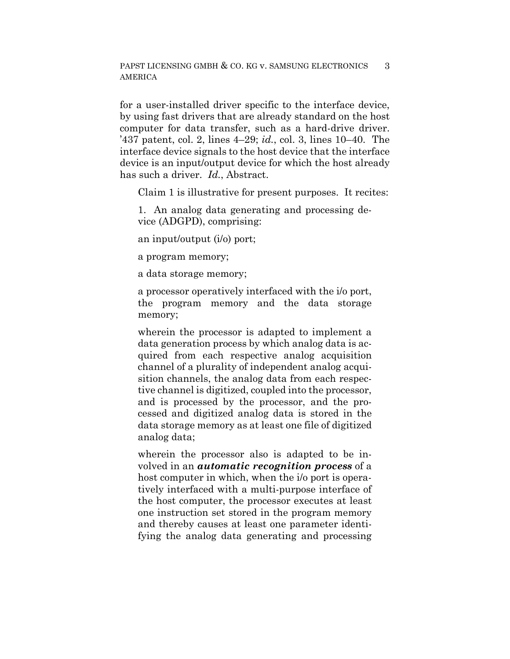for a user-installed driver specific to the interface device, by using fast drivers that are already standard on the host computer for data transfer, such as a hard-drive driver. '437 patent, col. 2, lines 4–29; *id.*, col. 3, lines 10–40. The interface device signals to the host device that the interface device is an input/output device for which the host already has such a driver. *Id.*, Abstract.

Claim 1 is illustrative for present purposes. It recites:

1. An analog data generating and processing device (ADGPD), comprising:

an input/output (i/o) port;

a program memory;

a data storage memory;

a processor operatively interfaced with the i/o port, the program memory and the data storage memory;

wherein the processor is adapted to implement a data generation process by which analog data is acquired from each respective analog acquisition channel of a plurality of independent analog acquisition channels, the analog data from each respective channel is digitized, coupled into the processor, and is processed by the processor, and the processed and digitized analog data is stored in the data storage memory as at least one file of digitized analog data;

wherein the processor also is adapted to be involved in an *automatic recognition process* of a host computer in which, when the i/o port is operatively interfaced with a multi-purpose interface of the host computer, the processor executes at least one instruction set stored in the program memory and thereby causes at least one parameter identifying the analog data generating and processing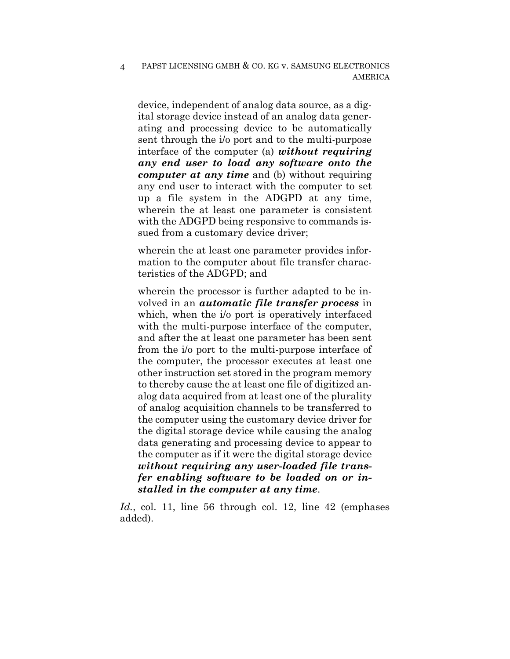device, independent of analog data source, as a digital storage device instead of an analog data generating and processing device to be automatically sent through the i/o port and to the multi-purpose interface of the computer (a) *without requiring any end user to load any software onto the computer at any time* and (b) without requiring any end user to interact with the computer to set up a file system in the ADGPD at any time, wherein the at least one parameter is consistent with the ADGPD being responsive to commands issued from a customary device driver;

wherein the at least one parameter provides information to the computer about file transfer characteristics of the ADGPD; and

wherein the processor is further adapted to be involved in an *automatic file transfer process* in which, when the i/o port is operatively interfaced with the multi-purpose interface of the computer, and after the at least one parameter has been sent from the i/o port to the multi-purpose interface of the computer, the processor executes at least one other instruction set stored in the program memory to thereby cause the at least one file of digitized analog data acquired from at least one of the plurality of analog acquisition channels to be transferred to the computer using the customary device driver for the digital storage device while causing the analog data generating and processing device to appear to the computer as if it were the digital storage device *without requiring any user-loaded file transfer enabling software to be loaded on or installed in the computer at any time*.

*Id.*, col. 11, line 56 through col. 12, line 42 (emphases added).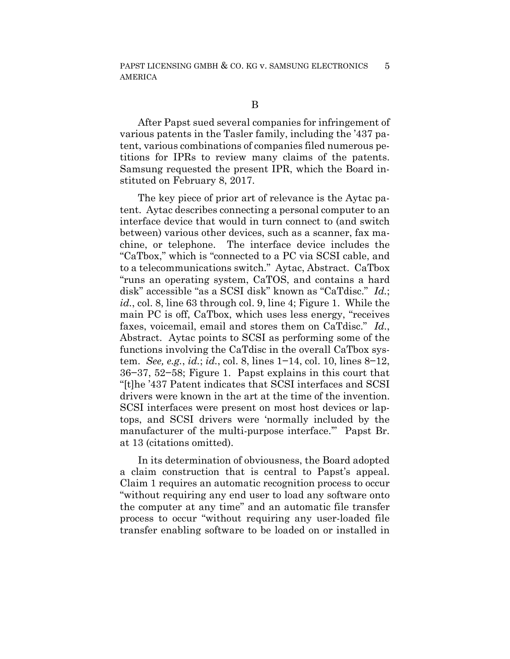After Papst sued several companies for infringement of various patents in the Tasler family, including the '437 patent, various combinations of companies filed numerous petitions for IPRs to review many claims of the patents. Samsung requested the present IPR, which the Board instituted on February 8, 2017.

The key piece of prior art of relevance is the Aytac patent. Aytac describes connecting a personal computer to an interface device that would in turn connect to (and switch between) various other devices, such as a scanner, fax machine, or telephone. The interface device includes the "CaTbox," which is "connected to a PC via SCSI cable, and to a telecommunications switch." Aytac, Abstract. CaTbox "runs an operating system, CaTOS, and contains a hard disk" accessible "as a SCSI disk" known as "CaTdisc." *Id.*; *id.*, col. 8, line 63 through col. 9, line 4; Figure 1. While the main PC is off, CaTbox, which uses less energy, "receives faxes, voicemail, email and stores them on CaTdisc." *Id.*, Abstract. Aytac points to SCSI as performing some of the functions involving the CaTdisc in the overall CaTbox system. *See, e.g.*, *id.*; *id.*, col. 8, lines 1−14, col. 10, lines 8−12, 36−37, 52−58; Figure 1. Papst explains in this court that "[t]he '437 Patent indicates that SCSI interfaces and SCSI drivers were known in the art at the time of the invention. SCSI interfaces were present on most host devices or laptops, and SCSI drivers were 'normally included by the manufacturer of the multi-purpose interface.'" Papst Br. at 13 (citations omitted).

In its determination of obviousness, the Board adopted a claim construction that is central to Papst's appeal. Claim 1 requires an automatic recognition process to occur "without requiring any end user to load any software onto the computer at any time" and an automatic file transfer process to occur "without requiring any user-loaded file transfer enabling software to be loaded on or installed in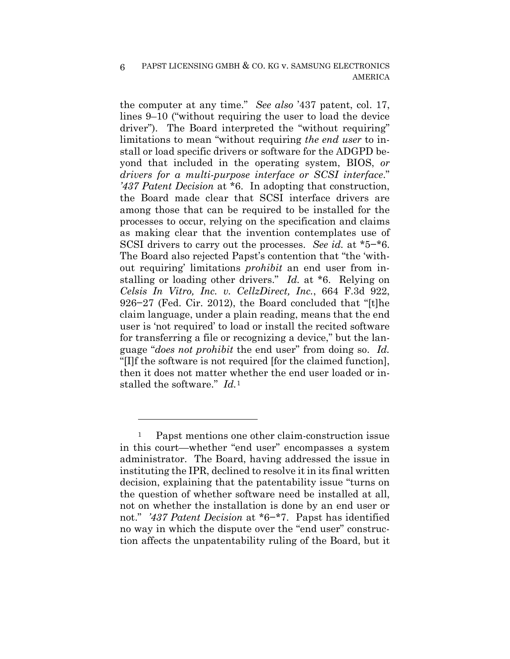the computer at any time." *See also* '437 patent, col. 17, lines 9–10 ("without requiring the user to load the device driver"). The Board interpreted the "without requiring" limitations to mean "without requiring *the end user* to install or load specific drivers or software for the ADGPD beyond that included in the operating system, BIOS, *or drivers for a multi-purpose interface or SCSI interface*." *'437 Patent Decision* at \*6. In adopting that construction, the Board made clear that SCSI interface drivers are among those that can be required to be installed for the processes to occur, relying on the specification and claims as making clear that the invention contemplates use of SCSI drivers to carry out the processes. *See id.* at \*5−\*6. The Board also rejected Papst's contention that "the 'without requiring' limitations *prohibit* an end user from installing or loading other drivers." *Id.* at \*6. Relying on *Celsis In Vitro, Inc. v. CellzDirect, Inc.*, 664 F.3d 922, 926−27 (Fed. Cir. 2012), the Board concluded that "[t]he claim language, under a plain reading, means that the end user is 'not required' to load or install the recited software for transferring a file or recognizing a device," but the language "*does not prohibit* the end user" from doing so. *Id.*  "[I]f the software is not required [for the claimed function], then it does not matter whether the end user loaded or installed the software." *Id.*<sup>1</sup>

<u>.</u>

Papst mentions one other claim-construction issue in this court—whether "end user" encompasses a system administrator. The Board, having addressed the issue in instituting the IPR, declined to resolve it in its final written decision, explaining that the patentability issue "turns on the question of whether software need be installed at all, not on whether the installation is done by an end user or not." *'437 Patent Decision* at \*6−\*7. Papst has identified no way in which the dispute over the "end user" construction affects the unpatentability ruling of the Board, but it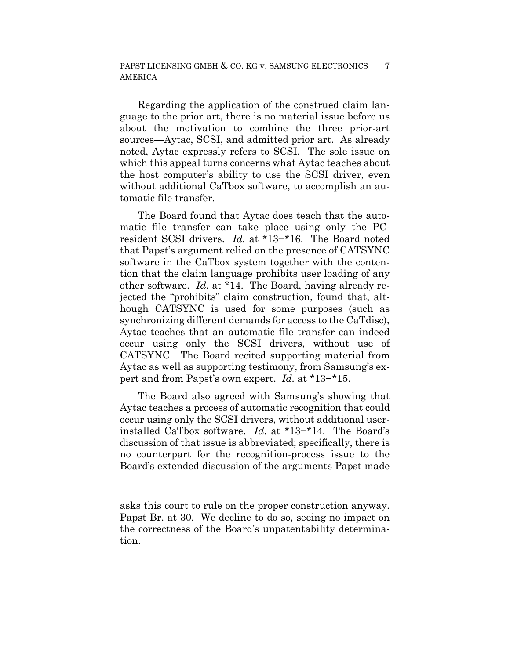Regarding the application of the construed claim language to the prior art, there is no material issue before us about the motivation to combine the three prior-art sources—Aytac, SCSI, and admitted prior art. As already noted, Aytac expressly refers to SCSI. The sole issue on which this appeal turns concerns what Aytac teaches about the host computer's ability to use the SCSI driver, even without additional CaTbox software, to accomplish an automatic file transfer.

The Board found that Aytac does teach that the automatic file transfer can take place using only the PCresident SCSI drivers. *Id.* at \*13−\*16. The Board noted that Papst's argument relied on the presence of CATSYNC software in the CaTbox system together with the contention that the claim language prohibits user loading of any other software. *Id.* at \*14. The Board, having already rejected the "prohibits" claim construction, found that, although CATSYNC is used for some purposes (such as synchronizing different demands for access to the CaTdisc), Aytac teaches that an automatic file transfer can indeed occur using only the SCSI drivers, without use of CATSYNC. The Board recited supporting material from Aytac as well as supporting testimony, from Samsung's expert and from Papst's own expert. *Id.* at \*13−\*15.

The Board also agreed with Samsung's showing that Aytac teaches a process of automatic recognition that could occur using only the SCSI drivers, without additional userinstalled CaTbox software. *Id.* at \*13−\*14. The Board's discussion of that issue is abbreviated; specifically, there is no counterpart for the recognition-process issue to the Board's extended discussion of the arguments Papst made

<u>.</u>

asks this court to rule on the proper construction anyway. Papst Br. at 30. We decline to do so, seeing no impact on the correctness of the Board's unpatentability determination.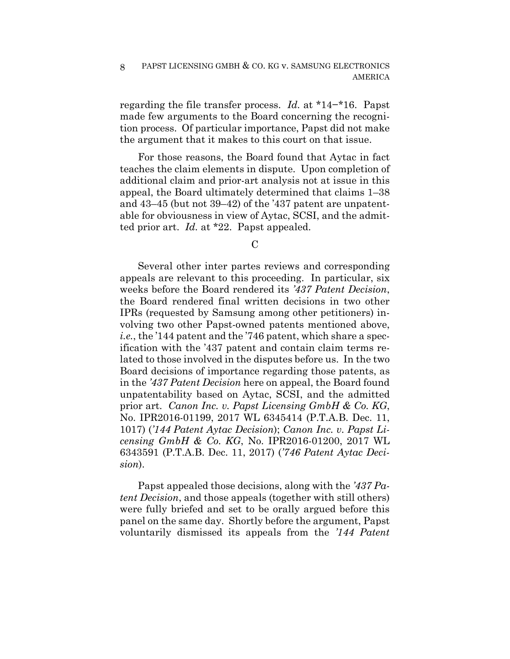regarding the file transfer process. *Id.* at \*14−\*16. Papst made few arguments to the Board concerning the recognition process. Of particular importance, Papst did not make the argument that it makes to this court on that issue.

For those reasons, the Board found that Aytac in fact teaches the claim elements in dispute. Upon completion of additional claim and prior-art analysis not at issue in this appeal, the Board ultimately determined that claims 1–38 and 43–45 (but not 39–42) of the '437 patent are unpatentable for obviousness in view of Aytac, SCSI, and the admitted prior art. *Id.* at \*22. Papst appealed.

 $\mathcal{C}$ 

Several other inter partes reviews and corresponding appeals are relevant to this proceeding. In particular, six weeks before the Board rendered its *'437 Patent Decision*, the Board rendered final written decisions in two other IPRs (requested by Samsung among other petitioners) involving two other Papst-owned patents mentioned above, *i.e.*, the '144 patent and the '746 patent, which share a specification with the '437 patent and contain claim terms related to those involved in the disputes before us. In the two Board decisions of importance regarding those patents, as in the *'437 Patent Decision* here on appeal, the Board found unpatentability based on Aytac, SCSI, and the admitted prior art. *Canon Inc. v. Papst Licensing GmbH & Co. KG*, No. IPR2016-01199, 2017 WL 6345414 (P.T.A.B. Dec. 11, 1017) (*'144 Patent Aytac Decision*); *Canon Inc. v. Papst Licensing GmbH & Co. KG*, No. IPR2016-01200, 2017 WL 6343591 (P.T.A.B. Dec. 11, 2017) (*'746 Patent Aytac Decision*).

Papst appealed those decisions, along with the *'437 Patent Decision*, and those appeals (together with still others) were fully briefed and set to be orally argued before this panel on the same day. Shortly before the argument, Papst voluntarily dismissed its appeals from the *'144 Patent*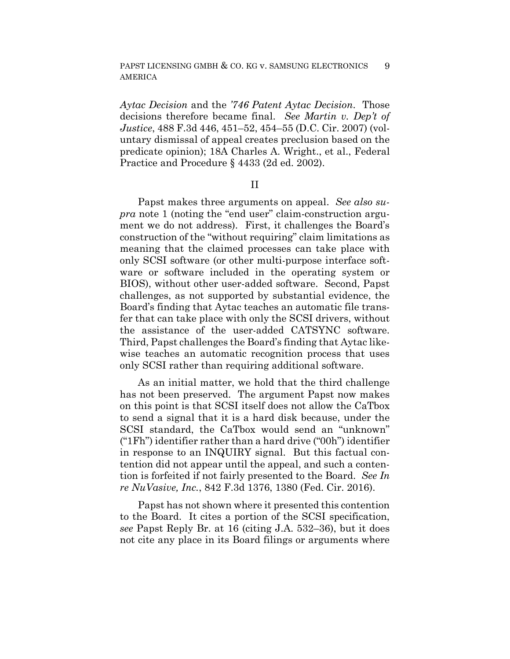*Aytac Decision* and the *'746 Patent Aytac Decision*. Those decisions therefore became final. *See Martin v. Dep't of Justice*, 488 F.3d 446, 451–52, 454–55 (D.C. Cir. 2007) (voluntary dismissal of appeal creates preclusion based on the predicate opinion); 18A Charles A. Wright., et al., Federal Practice and Procedure § 4433 (2d ed. 2002).

II

Papst makes three arguments on appeal. *See also supra* note 1 (noting the "end user" claim-construction argument we do not address). First, it challenges the Board's construction of the "without requiring" claim limitations as meaning that the claimed processes can take place with only SCSI software (or other multi-purpose interface software or software included in the operating system or BIOS), without other user-added software. Second, Papst challenges, as not supported by substantial evidence, the Board's finding that Aytac teaches an automatic file transfer that can take place with only the SCSI drivers, without the assistance of the user-added CATSYNC software. Third, Papst challenges the Board's finding that Aytac likewise teaches an automatic recognition process that uses only SCSI rather than requiring additional software.

As an initial matter, we hold that the third challenge has not been preserved. The argument Papst now makes on this point is that SCSI itself does not allow the CaTbox to send a signal that it is a hard disk because, under the SCSI standard, the CaTbox would send an "unknown" ("1Fh") identifier rather than a hard drive ("00h") identifier in response to an INQUIRY signal. But this factual contention did not appear until the appeal, and such a contention is forfeited if not fairly presented to the Board. *See In re NuVasive, Inc.*, 842 F.3d 1376, 1380 (Fed. Cir. 2016).

Papst has not shown where it presented this contention to the Board. It cites a portion of the SCSI specification, *see* Papst Reply Br. at 16 (citing J.A. 532–36), but it does not cite any place in its Board filings or arguments where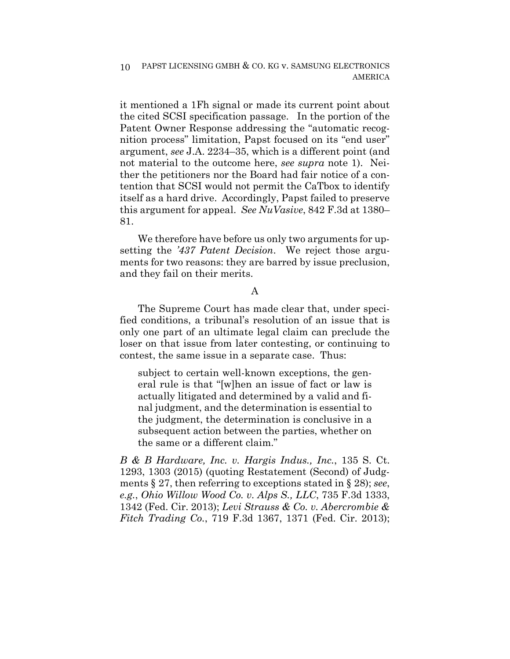it mentioned a 1Fh signal or made its current point about the cited SCSI specification passage. In the portion of the Patent Owner Response addressing the "automatic recognition process" limitation, Papst focused on its "end user" argument, *see* J.A. 2234–35, which is a different point (and not material to the outcome here, *see supra* note 1). Neither the petitioners nor the Board had fair notice of a contention that SCSI would not permit the CaTbox to identify itself as a hard drive. Accordingly, Papst failed to preserve this argument for appeal. *See NuVasive*, 842 F.3d at 1380– 81.

We therefore have before us only two arguments for upsetting the *'437 Patent Decision*. We reject those arguments for two reasons: they are barred by issue preclusion, and they fail on their merits.

#### A

The Supreme Court has made clear that, under specified conditions, a tribunal's resolution of an issue that is only one part of an ultimate legal claim can preclude the loser on that issue from later contesting, or continuing to contest, the same issue in a separate case. Thus:

subject to certain well-known exceptions, the general rule is that "[w]hen an issue of fact or law is actually litigated and determined by a valid and final judgment, and the determination is essential to the judgment, the determination is conclusive in a subsequent action between the parties, whether on the same or a different claim."

*B & B Hardware, Inc. v. Hargis Indus., Inc.*, 135 S. Ct. 1293, 1303 (2015) (quoting Restatement (Second) of Judgments § 27, then referring to exceptions stated in § 28); *see*, *e.g.*, *Ohio Willow Wood Co. v. Alps S., LLC*, 735 F.3d 1333, 1342 (Fed. Cir. 2013); *Levi Strauss & Co. v. Abercrombie & Fitch Trading Co.*, 719 F.3d 1367, 1371 (Fed. Cir. 2013);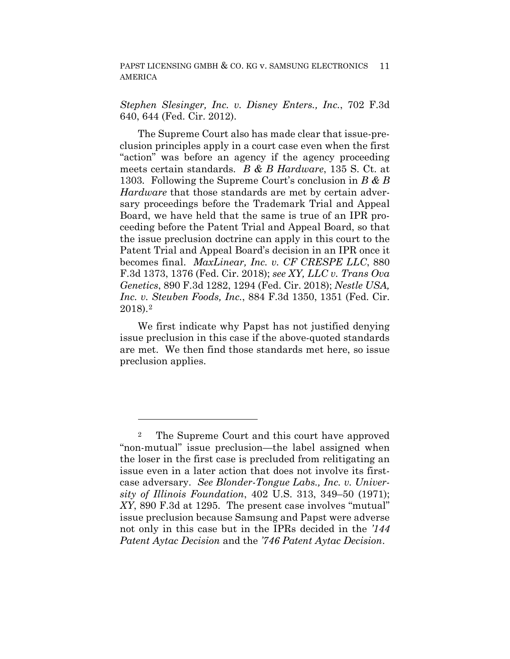*Stephen Slesinger, Inc. v. Disney Enters., Inc.*, 702 F.3d 640, 644 (Fed. Cir. 2012).

The Supreme Court also has made clear that issue-preclusion principles apply in a court case even when the first "action" was before an agency if the agency proceeding meets certain standards. *B & B Hardware*, 135 S. Ct. at 1303*.* Following the Supreme Court's conclusion in *B & B Hardware* that those standards are met by certain adversary proceedings before the Trademark Trial and Appeal Board, we have held that the same is true of an IPR proceeding before the Patent Trial and Appeal Board, so that the issue preclusion doctrine can apply in this court to the Patent Trial and Appeal Board's decision in an IPR once it becomes final. *MaxLinear, Inc. v. CF CRESPE LLC*, 880 F.3d 1373, 1376 (Fed. Cir. 2018); *see XY, LLC v. Trans Ova Genetics*, 890 F.3d 1282, 1294 (Fed. Cir. 2018); *Nestle USA, Inc. v. Steuben Foods, Inc.*, 884 F.3d 1350, 1351 (Fed. Cir. 2018).2

We first indicate why Papst has not justified denying issue preclusion in this case if the above-quoted standards are met. We then find those standards met here, so issue preclusion applies.

<u>.</u>

<sup>2</sup> The Supreme Court and this court have approved "non-mutual" issue preclusion—the label assigned when the loser in the first case is precluded from relitigating an issue even in a later action that does not involve its firstcase adversary. *See Blonder-Tongue Labs., Inc. v. University of Illinois Foundation*, 402 U.S. 313, 349–50 (1971); *XY*, 890 F.3d at 1295.The present case involves "mutual" issue preclusion because Samsung and Papst were adverse not only in this case but in the IPRs decided in the *'144 Patent Aytac Decision* and the *'746 Patent Aytac Decision*.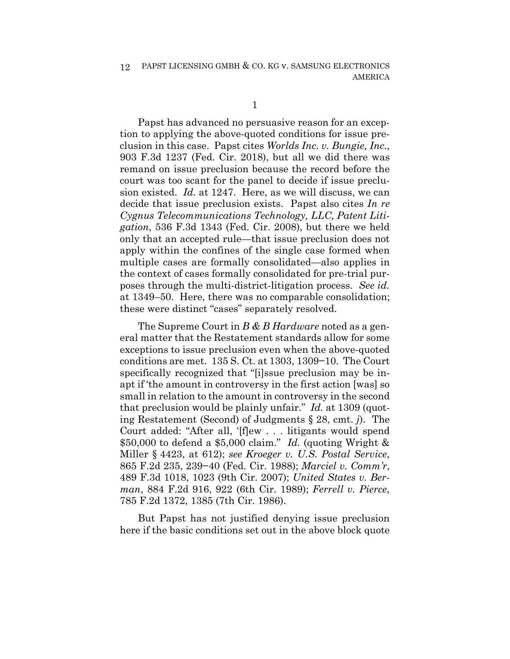Papst has advanced no persuasive reason for an exception to applying the above-quoted conditions for issue preclusion in this case. Papst cites *Worlds Inc. v. Bungie, Inc.*, 903 F.3d 1237 (Fed. Cir. 2018), but all we did there was remand on issue preclusion because the record before the court was too scant for the panel to decide if issue preclusion existed. *Id.* at 1247. Here, as we will discuss, we can decide that issue preclusion exists. Papst also cites *In re Cygnus Telecommunications Technology, LLC, Patent Litigation*, 536 F.3d 1343 (Fed. Cir. 2008), but there we held only that an accepted rule—that issue preclusion does not apply within the confines of the single case formed when multiple cases are formally consolidated—also applies in the context of cases formally consolidated for pre-trial purposes through the multi-district-litigation process. *See id.* at 1349–50. Here, there was no comparable consolidation; these were distinct "cases" separately resolved.

The Supreme Court in *B & B Hardware* noted as a general matter that the Restatement standards allow for some exceptions to issue preclusion even when the above-quoted conditions are met. 135 S. Ct. at 1303, 1309−10. The Court specifically recognized that "[i]ssue preclusion may be inapt if 'the amount in controversy in the first action [was] so small in relation to the amount in controversy in the second that preclusion would be plainly unfair." *Id.* at 1309 (quoting Restatement (Second) of Judgments § 28, cmt. *j*). The Court added: "After all, '[f]ew . . . litigants would spend \$50,000 to defend a \$5,000 claim." *Id.* (quoting Wright & Miller § 4423, at 612); *see Kroeger v. U.S. Postal Service*, 865 F.2d 235, 239−40 (Fed. Cir. 1988); *Marciel v. Comm'r*, 489 F.3d 1018, 1023 (9th Cir. 2007); *United States v. Berman*, 884 F.2d 916, 922 (6th Cir. 1989); *Ferrell v. Pierce*, 785 F.2d 1372, 1385 (7th Cir. 1986).

But Papst has not justified denying issue preclusion here if the basic conditions set out in the above block quote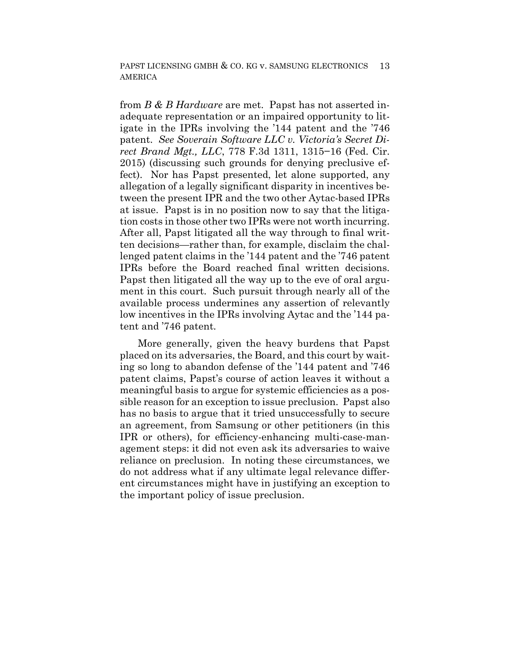from *B & B Hardware* are met. Papst has not asserted inadequate representation or an impaired opportunity to litigate in the IPRs involving the '144 patent and the '746 patent. *See Soverain Software LLC v. Victoria's Secret Direct Brand Mgt., LLC*, 778 F.3d 1311, 1315−16 (Fed. Cir. 2015) (discussing such grounds for denying preclusive effect). Nor has Papst presented, let alone supported, any allegation of a legally significant disparity in incentives between the present IPR and the two other Aytac-based IPRs at issue. Papst is in no position now to say that the litigation costs in those other two IPRs were not worth incurring. After all, Papst litigated all the way through to final written decisions—rather than, for example, disclaim the challenged patent claims in the '144 patent and the '746 patent IPRs before the Board reached final written decisions. Papst then litigated all the way up to the eve of oral argument in this court. Such pursuit through nearly all of the available process undermines any assertion of relevantly low incentives in the IPRs involving Aytac and the '144 patent and '746 patent.

More generally, given the heavy burdens that Papst placed on its adversaries, the Board, and this court by waiting so long to abandon defense of the '144 patent and '746 patent claims, Papst's course of action leaves it without a meaningful basis to argue for systemic efficiencies as a possible reason for an exception to issue preclusion. Papst also has no basis to argue that it tried unsuccessfully to secure an agreement, from Samsung or other petitioners (in this IPR or others), for efficiency-enhancing multi-case-management steps: it did not even ask its adversaries to waive reliance on preclusion. In noting these circumstances, we do not address what if any ultimate legal relevance different circumstances might have in justifying an exception to the important policy of issue preclusion.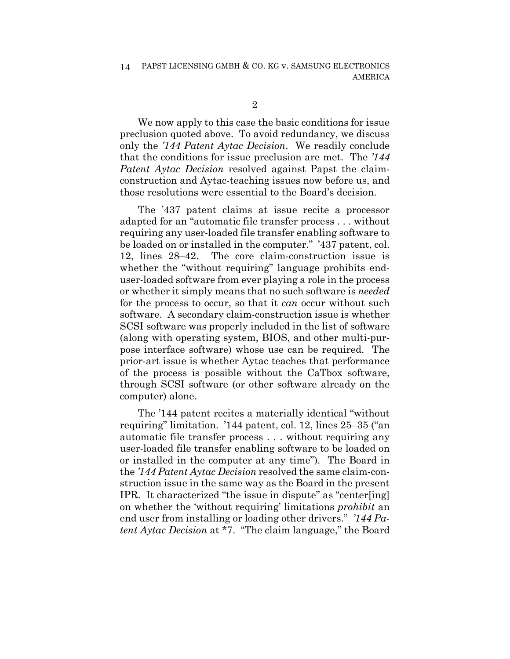We now apply to this case the basic conditions for issue preclusion quoted above. To avoid redundancy, we discuss only the *'144 Patent Aytac Decision*. We readily conclude that the conditions for issue preclusion are met. The *'144 Patent Aytac Decision* resolved against Papst the claimconstruction and Aytac-teaching issues now before us, and those resolutions were essential to the Board's decision.

The '437 patent claims at issue recite a processor adapted for an "automatic file transfer process . . . without requiring any user-loaded file transfer enabling software to be loaded on or installed in the computer." '437 patent, col. 12, lines 28–42. The core claim-construction issue is whether the "without requiring" language prohibits enduser-loaded software from ever playing a role in the process or whether it simply means that no such software is *needed*  for the process to occur, so that it *can* occur without such software. A secondary claim-construction issue is whether SCSI software was properly included in the list of software (along with operating system, BIOS, and other multi-purpose interface software) whose use can be required. The prior-art issue is whether Aytac teaches that performance of the process is possible without the CaTbox software, through SCSI software (or other software already on the computer) alone.

The '144 patent recites a materially identical "without requiring" limitation. '144 patent, col. 12, lines 25–35 ("an automatic file transfer process . . . without requiring any user-loaded file transfer enabling software to be loaded on or installed in the computer at any time"). The Board in the *'144 Patent Aytac Decision* resolved the same claim-construction issue in the same way as the Board in the present IPR. It characterized "the issue in dispute" as "center[ing] on whether the 'without requiring' limitations *prohibit* an end user from installing or loading other drivers." *'144 Patent Aytac Decision* at \*7. "The claim language," the Board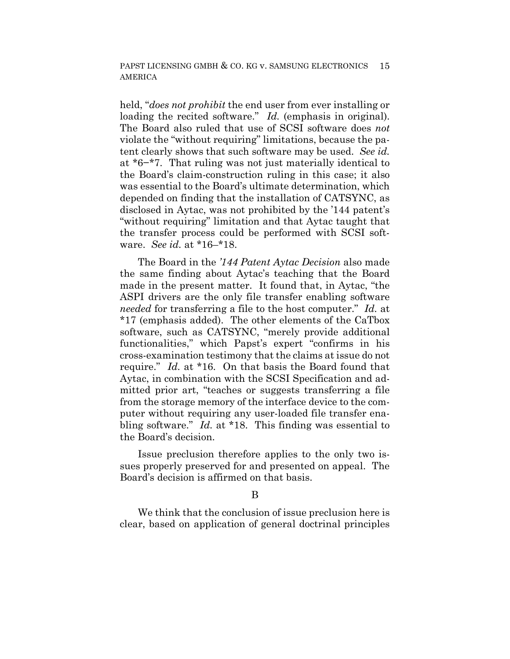held, "*does not prohibit* the end user from ever installing or loading the recited software." *Id.* (emphasis in original). The Board also ruled that use of SCSI software does *not*  violate the "without requiring" limitations, because the patent clearly shows that such software may be used. *See id.* at \*6−\*7. That ruling was not just materially identical to the Board's claim-construction ruling in this case; it also was essential to the Board's ultimate determination, which depended on finding that the installation of CATSYNC, as disclosed in Aytac, was not prohibited by the '144 patent's "without requiring" limitation and that Aytac taught that the transfer process could be performed with SCSI software. *See id.* at \*16–\*18.

The Board in the *'144 Patent Aytac Decision* also made the same finding about Aytac's teaching that the Board made in the present matter. It found that, in Aytac, "the ASPI drivers are the only file transfer enabling software *needed* for transferring a file to the host computer." *Id.* at \*17 (emphasis added). The other elements of the CaTbox software, such as CATSYNC, "merely provide additional functionalities," which Papst's expert "confirms in his cross-examination testimony that the claims at issue do not require." *Id.* at \*16. On that basis the Board found that Aytac, in combination with the SCSI Specification and admitted prior art, "teaches or suggests transferring a file from the storage memory of the interface device to the computer without requiring any user-loaded file transfer enabling software." *Id.* at \*18. This finding was essential to the Board's decision.

Issue preclusion therefore applies to the only two issues properly preserved for and presented on appeal. The Board's decision is affirmed on that basis.

#### B

We think that the conclusion of issue preclusion here is clear, based on application of general doctrinal principles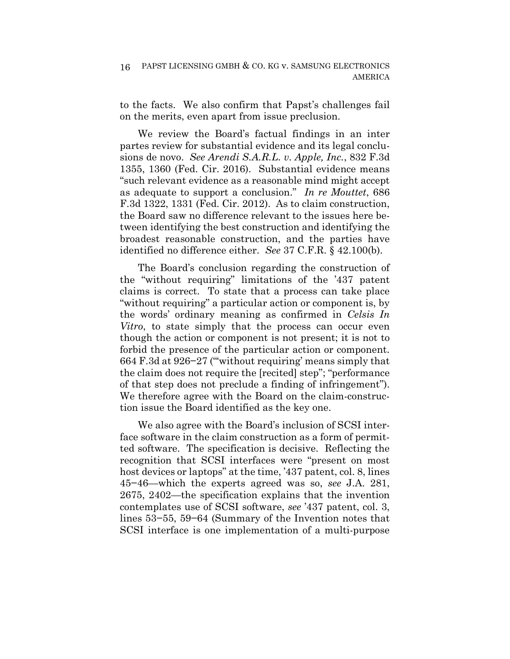to the facts. We also confirm that Papst's challenges fail on the merits, even apart from issue preclusion.

We review the Board's factual findings in an inter partes review for substantial evidence and its legal conclusions de novo. *See Arendi S.A.R.L. v. Apple, Inc.*, 832 F.3d 1355, 1360 (Fed. Cir. 2016). Substantial evidence means "such relevant evidence as a reasonable mind might accept as adequate to support a conclusion." *In re Mouttet*, 686 F.3d 1322, 1331 (Fed. Cir. 2012). As to claim construction, the Board saw no difference relevant to the issues here between identifying the best construction and identifying the broadest reasonable construction, and the parties have identified no difference either. *See* 37 C.F.R. § 42.100(b).

The Board's conclusion regarding the construction of the "without requiring" limitations of the '437 patent claims is correct. To state that a process can take place "without requiring" a particular action or component is, by the words' ordinary meaning as confirmed in *Celsis In Vitro*, to state simply that the process can occur even though the action or component is not present; it is not to forbid the presence of the particular action or component. 664 F.3d at 926−27 ("'without requiring' means simply that the claim does not require the [recited] step"; "performance of that step does not preclude a finding of infringement"). We therefore agree with the Board on the claim-construction issue the Board identified as the key one.

We also agree with the Board's inclusion of SCSI interface software in the claim construction as a form of permitted software. The specification is decisive. Reflecting the recognition that SCSI interfaces were "present on most host devices or laptops" at the time, '437 patent, col. 8, lines 45−46—which the experts agreed was so, *see* J.A. 281, 2675, 2402—the specification explains that the invention contemplates use of SCSI software, *see* '437 patent, col. 3, lines 53−55, 59−64 (Summary of the Invention notes that SCSI interface is one implementation of a multi-purpose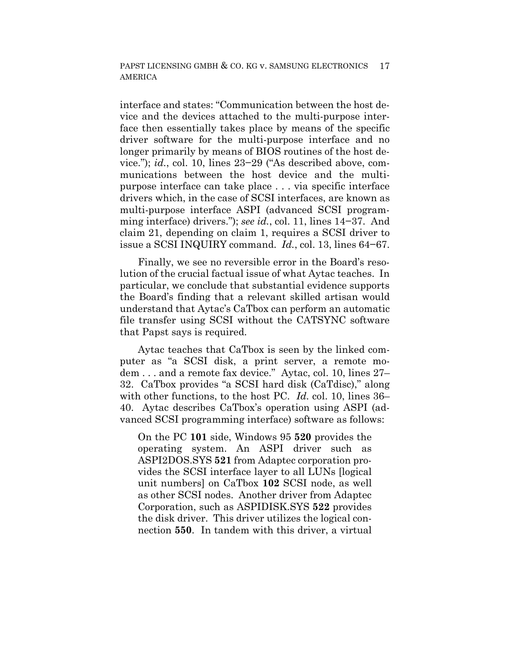interface and states: "Communication between the host device and the devices attached to the multi-purpose interface then essentially takes place by means of the specific driver software for the multi-purpose interface and no longer primarily by means of BIOS routines of the host device."); *id.*, col. 10, lines 23−29 ("As described above, communications between the host device and the multipurpose interface can take place . . . via specific interface drivers which, in the case of SCSI interfaces, are known as multi-purpose interface ASPI (advanced SCSI programming interface) drivers."); *see id.*, col. 11, lines 14−37. And claim 21, depending on claim 1, requires a SCSI driver to issue a SCSI INQUIRY command. *Id.*, col. 13, lines 64−67.

Finally, we see no reversible error in the Board's resolution of the crucial factual issue of what Aytac teaches. In particular, we conclude that substantial evidence supports the Board's finding that a relevant skilled artisan would understand that Aytac's CaTbox can perform an automatic file transfer using SCSI without the CATSYNC software that Papst says is required.

Aytac teaches that CaTbox is seen by the linked computer as "a SCSI disk, a print server, a remote modem . . . and a remote fax device." Aytac, col. 10, lines 27– 32. CaTbox provides "a SCSI hard disk (CaTdisc)," along with other functions, to the host PC. *Id.* col. 10, lines 36– 40. Aytac describes CaTbox's operation using ASPI (advanced SCSI programming interface) software as follows:

On the PC **101** side, Windows 95 **520** provides the operating system. An ASPI driver such as ASPI2DOS.SYS **521** from Adaptec corporation provides the SCSI interface layer to all LUNs [logical unit numbers] on CaTbox **102** SCSI node, as well as other SCSI nodes. Another driver from Adaptec Corporation, such as ASPIDISK.SYS **522** provides the disk driver. This driver utilizes the logical connection **550**. In tandem with this driver, a virtual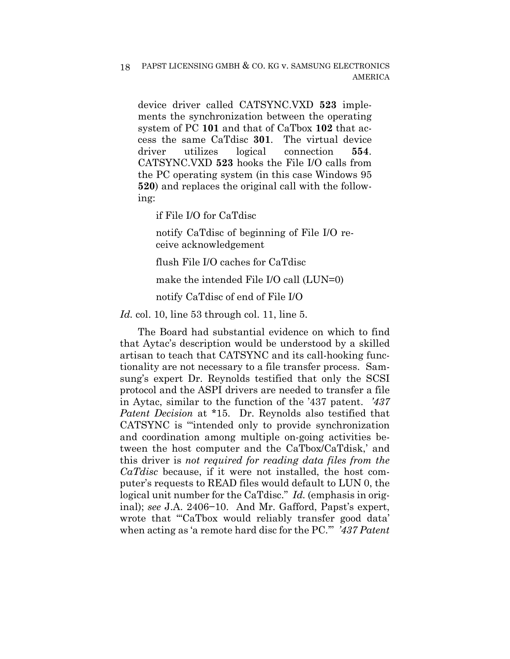device driver called CATSYNC.VXD **523** implements the synchronization between the operating system of PC **101** and that of CaTbox **102** that access the same CaTdisc **301**. The virtual device driver utilizes logical connection **554**. CATSYNC.VXD **523** hooks the File I/O calls from the PC operating system (in this case Windows 95 **520**) and replaces the original call with the following:

if File I/O for CaTdisc

notify CaTdisc of beginning of File I/O receive acknowledgement

flush File I/O caches for CaTdisc

make the intended File I/O call (LUN=0)

notify CaTdisc of end of File I/O

*Id.* col. 10, line 53 through col. 11, line 5.

The Board had substantial evidence on which to find that Aytac's description would be understood by a skilled artisan to teach that CATSYNC and its call-hooking functionality are not necessary to a file transfer process. Samsung's expert Dr. Reynolds testified that only the SCSI protocol and the ASPI drivers are needed to transfer a file in Aytac, similar to the function of the '437 patent. *'437 Patent Decision* at \*15. Dr. Reynolds also testified that CATSYNC is '"intended only to provide synchronization and coordination among multiple on-going activities between the host computer and the CaTbox/CaTdisk,' and this driver is *not required for reading data files from the CaTdisc* because, if it were not installed, the host computer's requests to READ files would default to LUN 0, the logical unit number for the CaTdisc." *Id.* (emphasis in original); *see* J.A. 2406−10. And Mr. Gafford, Papst's expert, wrote that '"CaTbox would reliably transfer good data' when acting as 'a remote hard disc for the PC.'" *'437 Patent*